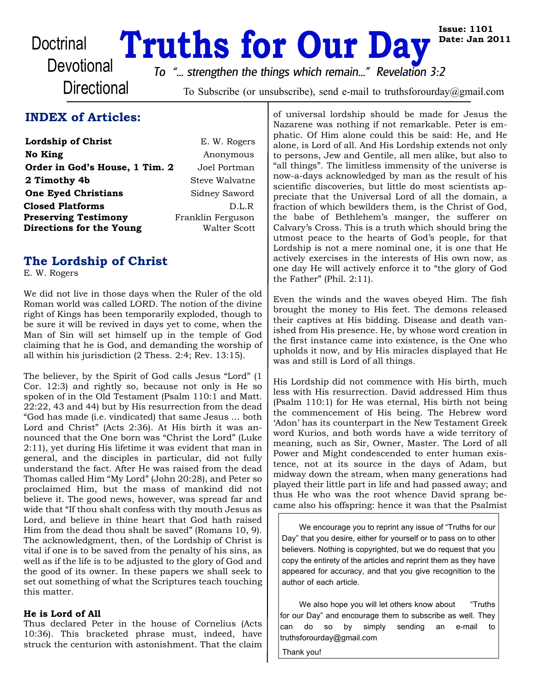# **Doctrinal Truths for Our Day**<br>Devotional To *"* strengthen the things which remain " Povelation

**Issue: 1101 Date: Jan 2011**

**Directional** 

*To "... strengthen the things which remain..." Revelation 3:2*

To Subscribe (or unsubscribe), send e-mail to truthsforourday@gmail.com

# **INDEX of Articles:**

| <b>Lordship of Christ</b>      | E. W. Rogers      |
|--------------------------------|-------------------|
| <b>No King</b>                 | Anonymous         |
| Order in God's House, 1 Tim. 2 | Joel Portman      |
| 2 Timothy 4b                   | Steve Walvatne    |
| <b>One Eyed Christians</b>     | Sidney Saword     |
| <b>Closed Platforms</b>        | D.L.R             |
| <b>Preserving Testimony</b>    | Franklin Ferguson |
| Directions for the Young       | Walter Scott      |

# **The Lordship of Christ**

E. W. Rogers

We did not live in those days when the Ruler of the old Roman world was called LORD. The notion of the divine right of Kings has been temporarily exploded, though to be sure it will be revived in days yet to come, when the Man of Sin will set himself up in the temple of God claiming that he is God, and demanding the worship of all within his jurisdiction (2 Thess. 2:4; Rev. 13:15).

The believer, by the Spirit of God calls Jesus "Lord" (1 Cor. 12:3) and rightly so, because not only is He so spoken of in the Old Testament (Psalm 110:1 and Matt. 22:22, 43 and 44) but by His resurrection from the dead "God has made (i.e. vindicated) that same Jesus … both Lord and Christ" (Acts 2:36). At His birth it was announced that the One born was "Christ the Lord" (Luke 2:11), yet during His lifetime it was evident that man in general, and the disciples in particular, did not fully understand the fact. After He was raised from the dead Thomas called Him "My Lord" (John 20:28), and Peter so proclaimed Him, but the mass of mankind did not believe it. The good news, however, was spread far and wide that "If thou shalt confess with thy mouth Jesus as Lord, and believe in thine heart that God hath raised Him from the dead thou shalt be saved" (Romans 10, 9). The acknowledgment, then, of the Lordship of Christ is vital if one is to be saved from the penalty of his sins, as well as if the life is to be adjusted to the glory of God and the good of its owner. In these papers we shall seek to set out something of what the Scriptures teach touching this matter.

#### **He is Lord of All**

Thus declared Peter in the house of Cornelius (Acts 10:36). This bracketed phrase must, indeed, have struck the centurion with astonishment. That the claim

of universal lordship should be made for Jesus the Nazarene was nothing if not remarkable. Peter is emphatic. Of Him alone could this be said: He, and He alone, is Lord of all. And His Lordship extends not only to persons, Jew and Gentile, all men alike, but also to "all things". The limitless immensity of the universe is now-a-days acknowledged by man as the result of his scientific discoveries, but little do most scientists appreciate that the Universal Lord of all the domain, a fraction of which bewilders them, is the Christ of God, the babe of Bethlehem's manger, the sufferer on Calvary's Cross. This is a truth which should bring the utmost peace to the hearts of God's people, for that Lordship is not a mere nominal one, it is one that He actively exercises in the interests of His own now, as one day He will actively enforce it to "the glory of God the Father" (Phil. 2:11).

Even the winds and the waves obeyed Him. The fish brought the money to His feet. The demons released their captives at His bidding. Disease and death vanished from His presence. He, by whose word creation in the first instance came into existence, is the One who upholds it now, and by His miracles displayed that He was and still is Lord of all things.

His Lordship did not commence with His birth, much less with His resurrection. David addressed Him thus (Psalm 110:1) for He was eternal, His birth not being the commencement of His being. The Hebrew word 'Adon' has its counterpart in the New Testament Greek word Kurios, and both words have a wide territory of meaning, such as Sir, Owner, Master. The Lord of all Power and Might condescended to enter human existence, not at its source in the days of Adam, but midway down the stream, when many generations had played their little part in life and had passed away; and thus He who was the root whence David sprang became also his offspring: hence it was that the Psalmist

We encourage you to reprint any issue of "Truths for our Day" that you desire, either for yourself or to pass on to other believers. Nothing is copyrighted, but we do request that you copy the entirety of the articles and reprint them as they have appeared for accuracy, and that you give recognition to the author of each article.

We also hope you will let others know about "Truths" for our Day" and encourage them to subscribe as well. They can do so by simply sending an e-mail to truthsforourday@gmail.com

Thank you!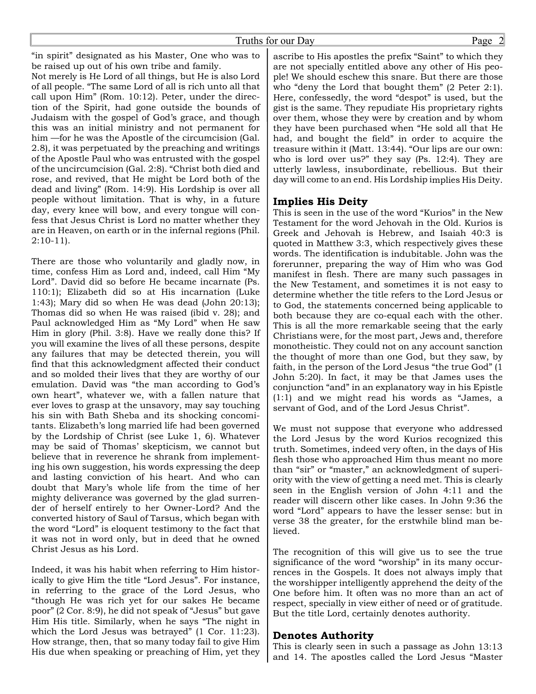"in spirit" designated as his Master, One who was to be raised up out of his own tribe and family.

Not merely is He Lord of all things, but He is also Lord of all people. "The same Lord of all is rich unto all that call upon Him" (Rom. 10:12). Peter, under the direction of the Spirit, had gone outside the bounds of Judaism with the gospel of God's grace, and though this was an initial ministry and not permanent for him —for he was the Apostle of the circumcision (Gal. 2.8), it was perpetuated by the preaching and writings of the Apostle Paul who was entrusted with the gospel of the uncircumcision (Gal. 2:8). "Christ both died and rose, and revived, that He might be Lord both of the dead and living" (Rom. 14:9). His Lordship is over all people without limitation. That is why, in a future day, every knee will bow, and every tongue will confess that Jesus Christ is Lord no matter whether they are in Heaven, on earth or in the infernal regions (Phil. 2:10-11).

There are those who voluntarily and gladly now, in time, confess Him as Lord and, indeed, call Him "My Lord". David did so before He became incarnate (Ps. 110:1); Elizabeth did so at His incarnation (Luke 1:43); Mary did so when He was dead (John 20:13); Thomas did so when He was raised (ibid v. 28); and Paul acknowledged Him as "My Lord" when He saw Him in glory (Phil. 3:8). Have we really done this? If you will examine the lives of all these persons, despite any failures that may be detected therein, you will find that this acknowledgment affected their conduct and so molded their lives that they are worthy of our emulation. David was "the man according to God's own heart", whatever we, with a fallen nature that ever loves to grasp at the unsavory, may say touching his sin with Bath Sheba and its shocking concomitants. Elizabeth's long married life had been governed by the Lordship of Christ (see Luke 1, 6). Whatever may be said of Thomas' skepticism, we cannot but believe that in reverence he shrank from implementing his own suggestion, his words expressing the deep and lasting conviction of his heart. And who can doubt that Mary's whole life from the time of her mighty deliverance was governed by the glad surrender of herself entirely to her Owner-Lord? And the converted history of Saul of Tarsus, which began with the word "Lord" is eloquent testimony to the fact that it was not in word only, but in deed that he owned Christ Jesus as his Lord.

Indeed, it was his habit when referring to Him historically to give Him the title "Lord Jesus". For instance, in referring to the grace of the Lord Jesus, who "though He was rich yet for our sakes He became poor" (2 Cor. 8:9), he did not speak of "Jesus" but gave Him His title. Similarly, when he says "The night in which the Lord Jesus was betrayed" (1 Cor. 11:23). How strange, then, that so many today fail to give Him His due when speaking or preaching of Him, yet they

ascribe to His apostles the prefix "Saint" to which they are not specially entitled above any other of His people! We should eschew this snare. But there are those who "deny the Lord that bought them" (2 Peter 2:1). Here, confessedly, the word "despot" is used, but the gist is the same. They repudiate His proprietary rights over them, whose they were by creation and by whom they have been purchased when "He sold all that He had, and bought the field" in order to acquire the treasure within it (Matt. 13:44). "Our lips are our own: who is lord over us?" they say (Ps. 12:4). They are utterly lawless, insubordinate, rebellious. But their day will come to an end. His Lordship implies His Deity.

#### **Implies His Deity**

This is seen in the use of the word "Kurios" in the New Testament for the word Jehovah in the Old. Kurios is Greek and Jehovah is Hebrew, and Isaiah 40:3 is quoted in Matthew 3:3, which respectively gives these words. The identification is indubitable. John was the forerunner, preparing the way of Him who was God manifest in flesh. There are many such passages in the New Testament, and sometimes it is not easy to determine whether the title refers to the Lord Jesus or to God, the statements concerned being applicable to both because they are co-equal each with the other. This is all the more remarkable seeing that the early Christians were, for the most part, Jews and, therefore monotheistic. They could not on any account sanction the thought of more than one God, but they saw, by faith, in the person of the Lord Jesus "the true God" (1 John 5:20). In fact, it may be that James uses the conjunction "and" in an explanatory way in his Epistle (1:1) and we might read his words as "James, a servant of God, and of the Lord Jesus Christ".

We must not suppose that everyone who addressed the Lord Jesus by the word Kurios recognized this truth. Sometimes, indeed very often, in the days of His flesh those who approached Him thus meant no more than "sir" or "master," an acknowledgment of superiority with the view of getting a need met. This is clearly seen in the English version of John 4:11 and the reader will discern other like cases. In John 9:36 the word "Lord" appears to have the lesser sense: but in verse 38 the greater, for the erstwhile blind man believed.

The recognition of this will give us to see the true significance of the word "worship" in its many occurrences in the Gospels. It does not always imply that the worshipper intelligently apprehend the deity of the One before him. It often was no more than an act of respect, specially in view either of need or of gratitude. But the title Lord, certainly denotes authority.

#### **Denotes Authority**

This is clearly seen in such a passage as John 13:13 and 14. The apostles called the Lord Jesus "Master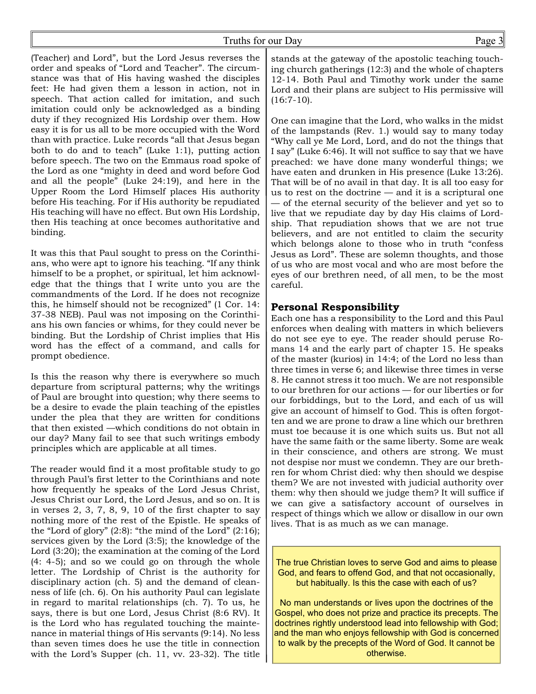#### Truths for our Day Page 3

(Teacher) and Lord", but the Lord Jesus reverses the order and speaks of "Lord and Teacher". The circumstance was that of His having washed the disciples feet: He had given them a lesson in action, not in speech. That action called for imitation, and such imitation could only be acknowledged as a binding duty if they recognized His Lordship over them. How easy it is for us all to be more occupied with the Word than with practice. Luke records "all that Jesus began both to do and to teach" (Luke 1:1), putting action before speech. The two on the Emmaus road spoke of the Lord as one "mighty in deed and word before God and all the people" (Luke 24:19), and here in the Upper Room the Lord Himself places His authority before His teaching. For if His authority be repudiated His teaching will have no effect. But own His Lordship, then His teaching at once becomes authoritative and binding.

It was this that Paul sought to press on the Corinthians, who were apt to ignore his teaching. "If any think himself to be a prophet, or spiritual, let him acknowledge that the things that I write unto you are the commandments of the Lord. If he does not recognize this, he himself should not be recognized" (1 Cor. 14: 37-38 NEB). Paul was not imposing on the Corinthians his own fancies or whims, for they could never be binding. But the Lordship of Christ implies that His word has the effect of a command, and calls for prompt obedience.

Is this the reason why there is everywhere so much departure from scriptural patterns; why the writings of Paul are brought into question; why there seems to be a desire to evade the plain teaching of the epistles under the plea that they are written for conditions that then existed —which conditions do not obtain in our day? Many fail to see that such writings embody principles which are applicable at all times.

The reader would find it a most profitable study to go through Paul's first letter to the Corinthians and note how frequently he speaks of the Lord Jesus Christ, Jesus Christ our Lord, the Lord Jesus, and so on. It is in verses 2, 3, 7, 8, 9, 10 of the first chapter to say nothing more of the rest of the Epistle. He speaks of the "Lord of glory"  $(2:8)$ : "the mind of the Lord"  $(2:16)$ ; services given by the Lord (3:5); the knowledge of the Lord (3:20); the examination at the coming of the Lord (4: 4-5); and so we could go on through the whole letter. The Lordship of Christ is the authority for disciplinary action (ch. 5) and the demand of cleanness of life (ch. 6). On his authority Paul can legislate in regard to marital relationships (ch. 7). To us, he says, there is but one Lord, Jesus Christ (8:6 RV). It is the Lord who has regulated touching the maintenance in material things of His servants (9:14). No less than seven times does he use the title in connection with the Lord's Supper (ch. 11, vv. 23-32). The title

stands at the gateway of the apostolic teaching touching church gatherings (12:3) and the whole of chapters 12-14. Both Paul and Timothy work under the same Lord and their plans are subject to His permissive will  $(16:7-10)$ .

One can imagine that the Lord, who walks in the midst of the lampstands (Rev. 1.) would say to many today "Why call ye Me Lord, Lord, and do not the things that I say" (Luke 6:46). It will not suffice to say that we have preached: we have done many wonderful things; we have eaten and drunken in His presence (Luke 13:26). That will be of no avail in that day. It is all too easy for us to rest on the doctrine — and it is a scriptural one — of the eternal security of the believer and yet so to live that we repudiate day by day His claims of Lordship. That repudiation shows that we are not true believers, and are not entitled to claim the security which belongs alone to those who in truth "confess Jesus as Lord". These are solemn thoughts, and those of us who are most vocal and who are most before the eyes of our brethren need, of all men, to be the most careful.

#### **Personal Responsibility**

Each one has a responsibility to the Lord and this Paul enforces when dealing with matters in which believers do not see eye to eye. The reader should peruse Romans 14 and the early part of chapter 15. He speaks of the master (kurios) in 14:4; of the Lord no less than three times in verse 6; and likewise three times in verse 8. He cannot stress it too much. We are not responsible to our brethren for our actions — for our liberties or for our forbiddings, but to the Lord, and each of us will give an account of himself to God. This is often forgotten and we are prone to draw a line which our brethren must toe because it is one which suits us. But not all have the same faith or the same liberty. Some are weak in their conscience, and others are strong. We must not despise nor must we condemn. They are our brethren for whom Christ died: why then should we despise them? We are not invested with judicial authority over them: why then should we judge them? It will suffice if we can give a satisfactory account of ourselves in respect of things which we allow or disallow in our own lives. That is as much as we can manage.

The true Christian loves to serve God and aims to please God, and fears to offend God, and that not occasionally, but habitually. Is this the case with each of us?

No man understands or lives upon the doctrines of the Gospel, who does not prize and practice its precepts. The doctrines rightly understood lead into fellowship with God; and the man who enjoys fellowship with God is concerned to walk by the precepts of the Word of God. It cannot be otherwise.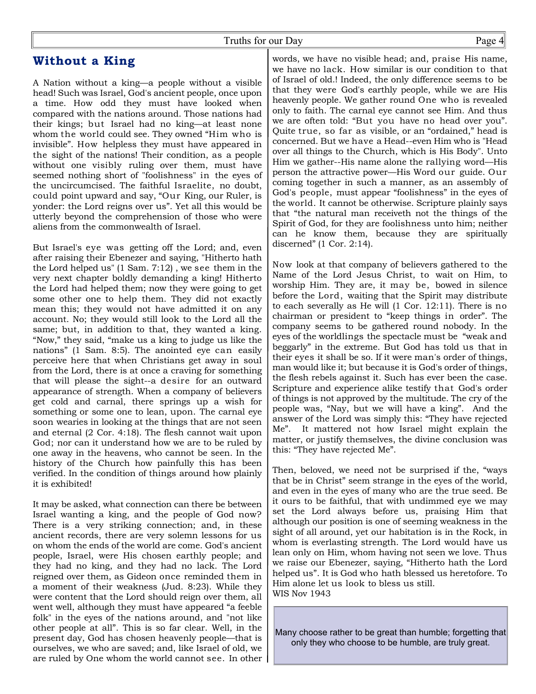# **Without a King**

A Nation without a king—a people without a visible head! Such was Israel, God's ancient people, once upon a time. How odd they must have looked when compared with the nations around. Those nations had their kings; but Israel had no king—at least none whom the world could see. They owned "Him who is invisible". How helpless they must have appeared in the sight of the nations! Their condition, as a people without one visibly ruling over them, must have seemed nothing short of "foolishness" in the eyes of the uncircumcised. The faithful Israelite, no doubt, could point upward and say, "Our King, our Ruler, is yonder: the Lord reigns over us". Yet all this would be utterly beyond the comprehension of those who were aliens from the commonwealth of Israel.

But Israel's eye was getting off the Lord; and, even after raising their Ebenezer and saying, "Hitherto hath the Lord helped us" (1 Sam. 7:12) , we see them in the very next chapter boldly demanding a king! Hitherto the Lord had helped them; now they were going to get some other one to help them. They did not exactly mean this; they would not have admitted it on any account. No; they would still look to the Lord all the same; but, in addition to that, they wanted a king. "Now," they said, "make us a king to judge us like the nations" (1 Sam. 8:5). The anointed eye can easily perceive here that when Christians get away in soul from the Lord, there is at once a craving for something that will please the sight--a desire for an outward appearance of strength. When a company of believers get cold and carnal, there springs up a wish for something or some one to lean, upon. The carnal eye soon wearies in looking at the things that are not seen and eternal (2 Cor. 4:18). The flesh cannot wait upon God; nor can it understand how we are to be ruled by one away in the heavens, who cannot be seen. In the history of the Church how painfully this has been verified. In the condition of things around how plainly it is exhibited!

It may be asked, what connection can there be between Israel wanting a king, and the people of God now? There is a very striking connection; and, in these ancient records, there are very solemn lessons for us on whom the ends of the world are come. God's ancient people, Israel, were His chosen earthly people; and they had no king, and they had no lack. The Lord reigned over them, as Gideon once reminded them in a moment of their weakness (Jud. 8:23). While they were content that the Lord should reign over them, all went well, although they must have appeared "a feeble folk" in the eyes of the nations around, and "not like other people at all". This is so far clear. Well, in the present day, God has chosen heavenly people—that is ourselves, we who are saved; and, like Israel of old, we are ruled by One whom the world cannot see. In other

words, we have no visible head; and, praise His name, we have no lack. How similar is our condition to that of Israel of old.! Indeed, the only difference seems to be that they were God's earthly people, while we are His heavenly people. We gather round One who is revealed only to faith. The carnal eye cannot see Him. And thus we are often told: "But you have no head over you". Quite true, so far as visible, or an "ordained," head is concerned. But we have a Head--even Him who is "Head over all things to the Church, which is His Body". Unto Him we gather--His name alone the rallying word—His person the attractive power—His Word our guide. Our coming together in such a manner, as an assembly of God's people, must appear "foolishness" in the eyes of the world. It cannot be otherwise. Scripture plainly says that "the natural man receiveth not the things of the Spirit of God, for they are foolishness unto him; neither can he know them, because they are spiritually discerned" (1 Cor. 2:14).

Now look at that company of believers gathered to the Name of the Lord Jesus Christ, to wait on Him, to worship Him. They are, it may be, bowed in silence before the Lord, waiting that the Spirit may distribute to each severally as He will (1 Cor. 12:11). There is no chairman or president to "keep things in order". The company seems to be gathered round nobody. In the eyes of the worldlings the spectacle must be "weak and beggarly" in the extreme. But God has told us that in their eyes it shall be so. If it were man's order of things, man would like it; but because it is God's order of things, the flesh rebels against it. Such has ever been the case. Scripture and experience alike testify that God's order of things is not approved by the multitude. The cry of the people was, "Nay, but we will have a king". And the answer of the Lord was simply this: "They have rejected Me". It mattered not how Israel might explain the matter, or justify themselves, the divine conclusion was this: "They have rejected Me".

Then, beloved, we need not be surprised if the, "ways that be in Christ" seem strange in the eyes of the world, and even in the eyes of many who are the true seed. Be it ours to be faithful, that with undimmed eye we may set the Lord always before us, praising Him that although our position is one of seeming weakness in the sight of all around, yet our habitation is in the Rock, in whom is everlasting strength. The Lord would have us lean only on Him, whom having not seen we love. Thus we raise our Ebenezer, saying, "Hitherto hath the Lord helped us". It is God who hath blessed us heretofore. To Him alone let us look to bless us still. WIS Nov 1943

Many choose rather to be great than humble; forgetting that only they who choose to be humble, are truly great.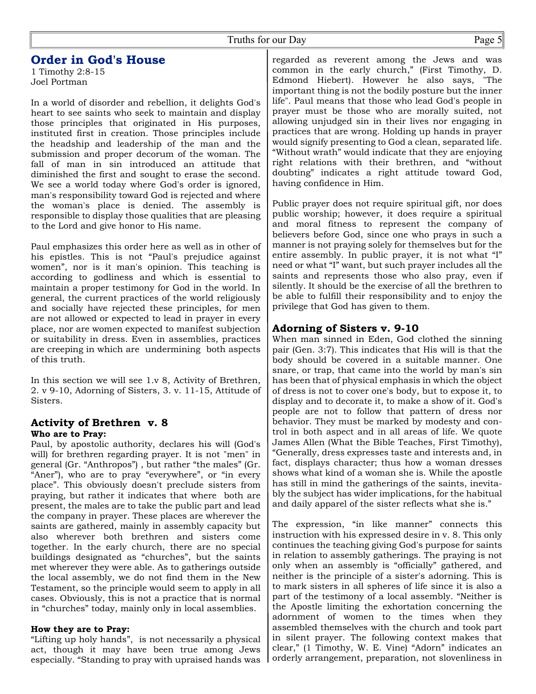# **Order in God's House**

1 Timothy 2:8-15 Joel Portman

In a world of disorder and rebellion, it delights God's heart to see saints who seek to maintain and display those principles that originated in His purposes, instituted first in creation. Those principles include the headship and leadership of the man and the submission and proper decorum of the woman. The fall of man in sin introduced an attitude that diminished the first and sought to erase the second. We see a world today where God's order is ignored, man's responsibility toward God is rejected and where the woman's place is denied. The assembly is responsible to display those qualities that are pleasing to the Lord and give honor to His name.

Paul emphasizes this order here as well as in other of his epistles. This is not "Paul's prejudice against women", nor is it man's opinion. This teaching is according to godliness and which is essential to maintain a proper testimony for God in the world. In general, the current practices of the world religiously and socially have rejected these principles, for men are not allowed or expected to lead in prayer in every place, nor are women expected to manifest subjection or suitability in dress. Even in assemblies, practices are creeping in which are undermining both aspects of this truth.

In this section we will see 1.v 8, Activity of Brethren, 2. v 9-10, Adorning of Sisters, 3. v. 11-15, Attitude of Sisters.

#### **Activity of Brethren v. 8 Who are to Pray:**

Paul, by apostolic authority, declares his will (God's will) for brethren regarding prayer. It is not "men" in general (Gr. "Anthropos") , but rather "the males" (Gr. "Aner"), who are to pray "everywhere", or "in every place". This obviously doesn't preclude sisters from praying, but rather it indicates that where both are present, the males are to take the public part and lead the company in prayer. These places are wherever the saints are gathered, mainly in assembly capacity but also wherever both brethren and sisters come together. In the early church, there are no special buildings designated as "churches", but the saints met wherever they were able. As to gatherings outside the local assembly, we do not find them in the New Testament, so the principle would seem to apply in all cases. Obviously, this is not a practice that is normal in "churches" today, mainly only in local assemblies.

#### **How they are to Pray:**

"Lifting up holy hands", is not necessarily a physical act, though it may have been true among Jews especially. "Standing to pray with upraised hands was

regarded as reverent among the Jews and was common in the early church," (First Timothy, D. Edmond Hiebert). However he also says, "The important thing is not the bodily posture but the inner life". Paul means that those who lead God's people in prayer must be those who are morally suited, not allowing unjudged sin in their lives nor engaging in practices that are wrong. Holding up hands in prayer would signify presenting to God a clean, separated life. "Without wrath" would indicate that they are enjoying right relations with their brethren, and "without doubting" indicates a right attitude toward God, having confidence in Him.

Public prayer does not require spiritual gift, nor does public worship; however, it does require a spiritual and moral fitness to represent the company of believers before God, since one who prays in such a manner is not praying solely for themselves but for the entire assembly. In public prayer, it is not what "I" need or what "I" want, but such prayer includes all the saints and represents those who also pray, even if silently. It should be the exercise of all the brethren to be able to fulfill their responsibility and to enjoy the privilege that God has given to them.

#### **Adorning of Sisters v. 9-10**

When man sinned in Eden, God clothed the sinning pair (Gen. 3:7). This indicates that His will is that the body should be covered in a suitable manner. One snare, or trap, that came into the world by man's sin has been that of physical emphasis in which the object of dress is not to cover one's body, but to expose it, to display and to decorate it, to make a show of it. God's people are not to follow that pattern of dress nor behavior. They must be marked by modesty and control in both aspect and in all areas of life. We quote James Allen (What the Bible Teaches, First Timothy), "Generally, dress expresses taste and interests and, in fact, displays character; thus how a woman dresses shows what kind of a woman she is. While the apostle has still in mind the gatherings of the saints, inevitably the subject has wider implications, for the habitual and daily apparel of the sister reflects what she is."

The expression, "in like manner" connects this instruction with his expressed desire in v. 8. This only continues the teaching giving God's purpose for saints in relation to assembly gatherings. The praying is not only when an assembly is "officially" gathered, and neither is the principle of a sister's adorning. This is to mark sisters in all spheres of life since it is also a part of the testimony of a local assembly. "Neither is the Apostle limiting the exhortation concerning the adornment of women to the times when they assembled themselves with the church and took part in silent prayer. The following context makes that clear," (1 Timothy, W. E. Vine) "Adorn" indicates an orderly arrangement, preparation, not slovenliness in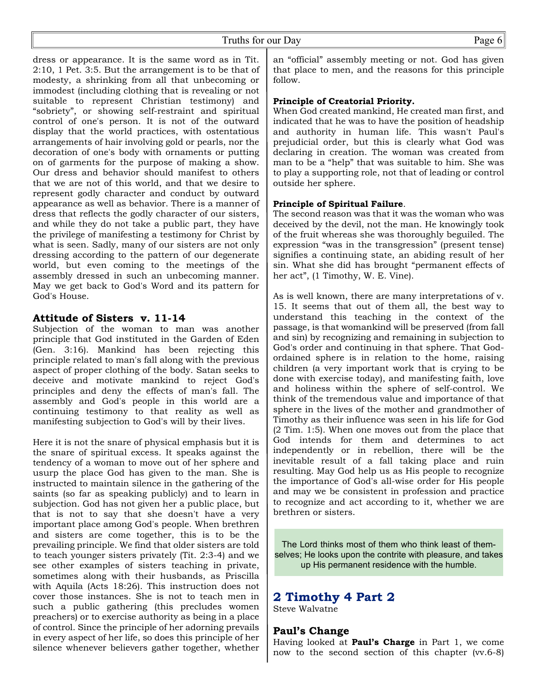dress or appearance. It is the same word as in Tit. 2:10, 1 Pet. 3:5. But the arrangement is to be that of modesty, a shrinking from all that unbecoming or immodest (including clothing that is revealing or not suitable to represent Christian testimony) and "sobriety", or showing self-restraint and spiritual control of one's person. It is not of the outward display that the world practices, with ostentatious arrangements of hair involving gold or pearls, nor the decoration of one's body with ornaments or putting on of garments for the purpose of making a show. Our dress and behavior should manifest to others that we are not of this world, and that we desire to represent godly character and conduct by outward appearance as well as behavior. There is a manner of dress that reflects the godly character of our sisters, and while they do not take a public part, they have the privilege of manifesting a testimony for Christ by what is seen. Sadly, many of our sisters are not only dressing according to the pattern of our degenerate world, but even coming to the meetings of the assembly dressed in such an unbecoming manner. May we get back to God's Word and its pattern for God's House.

### **Attitude of Sisters v. 11-14**

Subjection of the woman to man was another principle that God instituted in the Garden of Eden (Gen. 3:16). Mankind has been rejecting this principle related to man's fall along with the previous aspect of proper clothing of the body. Satan seeks to deceive and motivate mankind to reject God's principles and deny the effects of man's fall. The assembly and God's people in this world are a continuing testimony to that reality as well as manifesting subjection to God's will by their lives.

Here it is not the snare of physical emphasis but it is the snare of spiritual excess. It speaks against the tendency of a woman to move out of her sphere and usurp the place God has given to the man. She is instructed to maintain silence in the gathering of the saints (so far as speaking publicly) and to learn in subjection. God has not given her a public place, but that is not to say that she doesn't have a very important place among God's people. When brethren and sisters are come together, this is to be the prevailing principle. We find that older sisters are told to teach younger sisters privately (Tit. 2:3-4) and we see other examples of sisters teaching in private, sometimes along with their husbands, as Priscilla with Aquila (Acts 18:26). This instruction does not cover those instances. She is not to teach men in such a public gathering (this precludes women preachers) or to exercise authority as being in a place of control. Since the principle of her adorning prevails in every aspect of her life, so does this principle of her silence whenever believers gather together, whether

an "official" assembly meeting or not. God has given that place to men, and the reasons for this principle follow.

#### **Principle of Creatorial Priority.**

When God created mankind, He created man first, and indicated that he was to have the position of headship and authority in human life. This wasn't Paul's prejudicial order, but this is clearly what God was declaring in creation. The woman was created from man to be a "help" that was suitable to him. She was to play a supporting role, not that of leading or control outside her sphere.

#### **Principle of Spiritual Failure**.

The second reason was that it was the woman who was deceived by the devil, not the man. He knowingly took of the fruit whereas she was thoroughly beguiled. The expression "was in the transgression" (present tense) signifies a continuing state, an abiding result of her sin. What she did has brought "permanent effects of her act", (1 Timothy, W. E. Vine).

As is well known, there are many interpretations of v. 15. It seems that out of them all, the best way to understand this teaching in the context of the passage, is that womankind will be preserved (from fall and sin) by recognizing and remaining in subjection to God's order and continuing in that sphere. That Godordained sphere is in relation to the home, raising children (a very important work that is crying to be done with exercise today), and manifesting faith, love and holiness within the sphere of self-control. We think of the tremendous value and importance of that sphere in the lives of the mother and grandmother of Timothy as their influence was seen in his life for God (2 Tim. 1:5). When one moves out from the place that God intends for them and determines to act independently or in rebellion, there will be the inevitable result of a fall taking place and ruin resulting. May God help us as His people to recognize the importance of God's all-wise order for His people and may we be consistent in profession and practice to recognize and act according to it, whether we are brethren or sisters.

The Lord thinks most of them who think least of themselves; He looks upon the contrite with pleasure, and takes up His permanent residence with the humble.

# **2 Timothy 4 Part 2**

Steve Walvatne

## **Paul's Change**

Having looked at **Paul's Charge** in Part 1, we come now to the second section of this chapter (vv.6-8)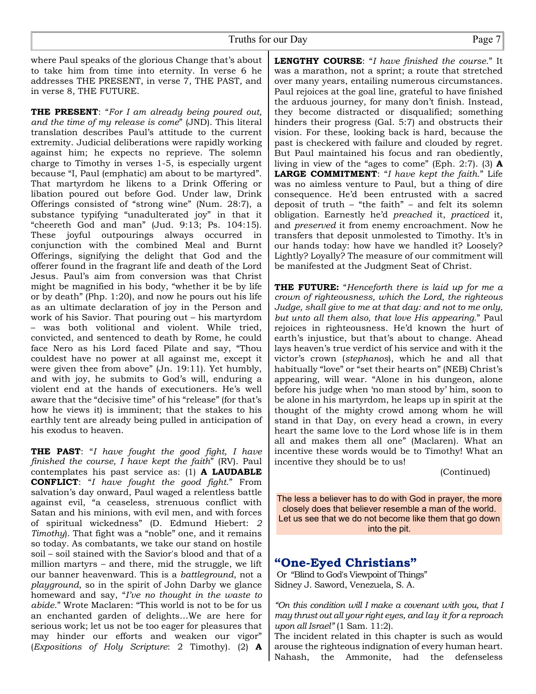where Paul speaks of the glorious Change that's about to take him from time into eternity. In verse 6 he addresses THE PRESENT, in verse 7, THE PAST, and in verse 8, THE FUTURE.

**THE PRESENT**: "*For I am already being poured out, and the time of my release is come*" (JND). This literal translation describes Paul's attitude to the current extremity. Judicial deliberations were rapidly working against him; he expects no reprieve. The solemn charge to Timothy in verses 1-5, is especially urgent because "I, Paul (emphatic) am about to be martyred". That martyrdom he likens to a Drink Offering or libation poured out before God. Under law, Drink Offerings consisted of "strong wine" (Num. 28:7), a substance typifying "unadulterated joy" in that it "cheereth God and man" (Jud. 9:13; Ps. 104:15). These joyful outpourings always occurred in conjunction with the combined Meal and Burnt Offerings, signifying the delight that God and the offerer found in the fragrant life and death of the Lord Jesus. Paul's aim from conversion was that Christ might be magnified in his body, "whether it be by life or by death" (Php. 1:20), and now he pours out his life as an ultimate declaration of joy in the Person and work of his Savior. That pouring out – his martyrdom – was both volitional and violent. While tried, convicted, and sentenced to death by Rome, he could face Nero as his Lord faced Pilate and say, "Thou couldest have no power at all against me, except it were given thee from above" (Jn. 19:11). Yet humbly, and with joy, he submits to God's will, enduring a violent end at the hands of executioners. He's well aware that the "decisive time" of his "release" (for that's how he views it) is imminent; that the stakes to his earthly tent are already being pulled in anticipation of his exodus to heaven.

**THE PAST**: "*I have fought the good fight, I have finished the course, I have kept the faith*" (RV). Paul contemplates his past service as: (1) **A LAUDABLE CONFLICT**: "*I have fought the good fight*." From salvation's day onward, Paul waged a relentless battle against evil, "a ceaseless, strenuous conflict with Satan and his minions, with evil men, and with forces of spiritual wickedness" (D. Edmund Hiebert: *2 Timothy*). That fight was a "noble" one, and it remains so today. As combatants, we take our stand on hostile soil – soil stained with the Savior's blood and that of a million martyrs – and there, mid the struggle, we lift our banner heavenward. This is a *battleground*, not a *playground*, so in the spirit of John Darby we glance homeward and say, "*I've no thought in the waste to abide*." Wrote Maclaren: "This world is not to be for us an enchanted garden of delights…We are here for serious work; let us not be too eager for pleasures that may hinder our efforts and weaken our vigor" (*Expositions of Holy Scripture*: 2 Timothy). (2) **A**

**LENGTHY COURSE**: "*I have finished the course*." It was a marathon, not a sprint; a route that stretched over many years, entailing numerous circumstances. Paul rejoices at the goal line, grateful to have finished the arduous journey, for many don't finish. Instead, they become distracted or disqualified; something hinders their progress (Gal. 5:7) and obstructs their vision. For these, looking back is hard, because the past is checkered with failure and clouded by regret. But Paul maintained his focus and ran obediently, living in view of the "ages to come" (Eph. 2:7). (3) **A LARGE COMMITMENT**: "*I have kept the faith*." Life was no aimless venture to Paul, but a thing of dire consequence. He'd been entrusted with a sacred deposit of truth – "the faith" – and felt its solemn obligation. Earnestly he'd *preached* it, *practiced* it, and *preserved* it from enemy encroachment. Now he transfers that deposit unmolested to Timothy. It's in our hands today: how have we handled it? Loosely? Lightly? Loyally? The measure of our commitment will be manifested at the Judgment Seat of Christ.

**THE FUTURE:** "*Henceforth there is laid up for me a crown of righteousness, which the Lord, the righteous Judge, shall give to me at that day: and not to me only, but unto all them also, that love His appearing*." Paul rejoices in righteousness. He'd known the hurt of earth's injustice, but that's about to change. Ahead lays heaven's true verdict of his service and with it the victor's crown (*stephanos*), which he and all that habitually "love" or "set their hearts on" (NEB) Christ's appearing, will wear. "Alone in his dungeon, alone before his judge when 'no man stood by' him, soon to be alone in his martyrdom, he leaps up in spirit at the thought of the mighty crowd among whom he will stand in that Day, on every head a crown, in every heart the same love to the Lord whose life is in them all and makes them all one" (Maclaren). What an incentive these words would be to Timothy! What an incentive they should be to us!

(Continued)

The less a believer has to do with God in prayer, the more closely does that believer resemble a man of the world. Let us see that we do not become like them that go down into the pit.

# **"One-Eyed Christians"**

 Or "Blind to God's Viewpoint of Things" Sidney J. Saword, Venezuela, S. A.

*"On this condition will I make a covenant with you, that I may thrust out all your right eyes, and lay it for a reproach upon all Israel"* (1 Sam. 11:2).

The incident related in this chapter is such as would arouse the righteous indignation of every human heart. Nahash, the Ammonite, had the defenseless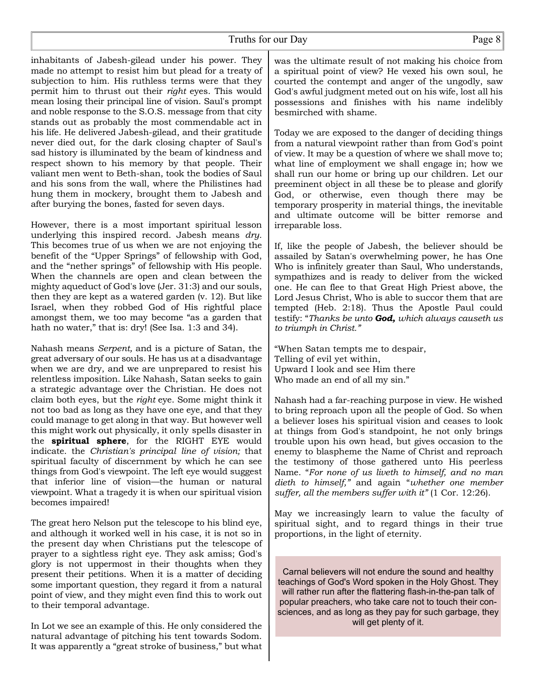inhabitants of Jabesh-gilead under his power. They made no attempt to resist him but plead for a treaty of subjection to him. His ruthless terms were that they permit him to thrust out their *right* eyes. This would mean losing their principal line of vision. Saul's prompt and noble response to the S.O.S. message from that city stands out as probably the most commendable act in his life. He delivered Jabesh-gilead, and their gratitude never died out, for the dark closing chapter of Saul's sad history is illuminated by the beam of kindness and respect shown to his memory by that people. Their valiant men went to Beth-shan, took the bodies of Saul and his sons from the wall, where the Philistines had hung them in mockery, brought them to Jabesh and after burying the bones, fasted for seven days.

However, there is a most important spiritual lesson underlying this inspired record. Jabesh means *dry.* This becomes true of us when we are not enjoying the benefit of the "Upper Springs" of fellowship with God, and the "nether springs" of fellowship with His people. When the channels are open and clean between the mighty aqueduct of God's love (Jer. 31:3) and our souls, then they are kept as a watered garden (v. 12). But like Israel, when they robbed God of His rightful place amongst them, we too may become "as a garden that hath no water," that is: dry! (See Isa. 1:3 and 34).

Nahash means *Serpent,* and is a picture of Satan, the great adversary of our souls. He has us at a disadvantage when we are dry, and we are unprepared to resist his relentless imposition. Like Nahash, Satan seeks to gain a strategic advantage over the Christian. He does not claim both eyes, but the *right* eye. Some might think it not too bad as long as they have one eye, and that they could manage to get along in that way. But however well this might work out physically, it only spells disaster in the **spiritual sphere**, for the RIGHT EYE would indicate. the *Christian's principal line of vision;* that spiritual faculty of discernment by which he can see things from God's viewpoint. The left eye would suggest that inferior line of vision—the human or natural viewpoint. What a tragedy it is when our spiritual vision becomes impaired!

The great hero Nelson put the telescope to his blind eye, and although it worked well in his case, it is not so in the present day when Christians put the telescope of prayer to a sightless right eye. They ask amiss; God's glory is not uppermost in their thoughts when they present their petitions. When it is a matter of deciding some important question, they regard it from a natural point of view, and they might even find this to work out to their temporal advantage.

In Lot we see an example of this. He only considered the natural advantage of pitching his tent towards Sodom. It was apparently a "great stroke of business," but what

was the ultimate result of not making his choice from a spiritual point of view? He vexed his own soul, he courted the contempt and anger of the ungodly, saw God's awful judgment meted out on his wife, lost all his possessions and finishes with his name indelibly besmirched with shame.

Today we are exposed to the danger of deciding things from a natural viewpoint rather than from God's point of view. It may be a question of where we shall move to; what line of employment we shall engage in; how we shall run our home or bring up our children. Let our preeminent object in all these be to please and glorify God, or otherwise, even though there may be temporary prosperity in material things, the inevitable and ultimate outcome will be bitter remorse and irreparable loss.

If, like the people of Jabesh, the believer should be assailed by Satan's overwhelming power, he has One Who is infinitely greater than Saul, Who understands, sympathizes and is ready to deliver from the wicked one. He can flee to that Great High Priest above, the Lord Jesus Christ, Who is able to succor them that are tempted (Heb. 2:18). Thus the Apostle Paul could testify: "*Thanks be unto God, which always causeth us to triumph in Christ."*

"When Satan tempts me to despair, Telling of evil yet within, Upward I look and see Him there Who made an end of all my sin."

Nahash had a far-reaching purpose in view. He wished to bring reproach upon all the people of God. So when a believer loses his spiritual vision and ceases to look at things from God's standpoint, he not only brings trouble upon his own head, but gives occasion to the enemy to blaspheme the Name of Christ and reproach the testimony of those gathered unto His peerless Name. "*For none of us liveth to himself, and no man dieth to himself,"* and again "*whether one member suffer, all the members suffer with it"* (1 Cor. 12:26).

May we increasingly learn to value the faculty of spiritual sight, and to regard things in their true proportions, in the light of eternity.

Carnal believers will not endure the sound and healthy teachings of God's Word spoken in the Holy Ghost. They will rather run after the flattering flash-in-the-pan talk of popular preachers, who take care not to touch their consciences, and as long as they pay for such garbage, they will get plenty of it.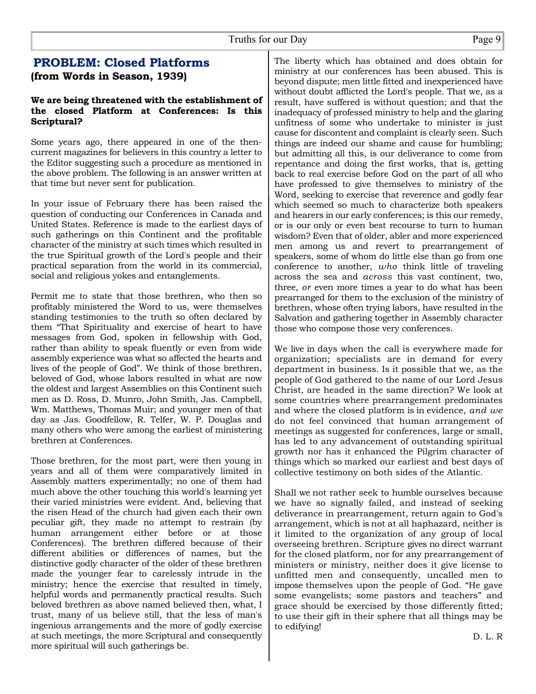### **PROBLEM: Closed Platforms (from Words in Season, 1939)**

#### **We are being threatened with the establishment of the closed Platform at Conferences: Is this Scriptural?**

Some years ago, there appeared in one of the thencurrent magazines for believers in this country a letter to the Editor suggesting such a procedure as mentioned in the above problem. The following is an answer written at that time but never sent for publication.

In your issue of February there has been raised the question of conducting our Conferences in Canada and United States. Reference is made to the earliest days of such gatherings on this Continent and the profitable character of the ministry at such times which resulted in the true Spiritual growth of the Lord's people and their practical separation from the world in its commercial, social and religious yokes and entanglements.

Permit me to state that those brethren, who then so profitably ministered the Word to us, were themselves standing testimonies to the truth so often declared by them "That Spirituality and exercise of heart to have messages from God, spoken in fellowship with God, rather than ability to speak fluently or even from wide assembly experience was what so affected the hearts and lives of the people of God". We think of those brethren, beloved of God, whose labors resulted in what are now the oldest and largest Assemblies on this Continent such men as D. Ross, D. Munro, John Smith, Jas. Campbell, Wm. Matthews, Thomas Muir; and younger men of that day as Jas. Goodfellow, R. Telfer, W. P. Douglas and many others who were among the earliest of ministering brethren at Conferences.

Those brethren, for the most part, were then young in years and all of them were comparatively limited in Assembly matters experimentally; no one of them had much above the other touching this world's learning yet their varied ministries were evident. And, believing that the risen Head of the church had given each their own peculiar gift, they made no attempt to restrain (by human arrangement either before or at those Conferences). The brethren differed because of their different abilities or differences of names, but the distinctive godly character of the older of these brethren made the younger fear to carelessly intrude in the ministry; hence the exercise that resulted in timely, helpful words and permanently practical results. Such beloved brethren as above named believed then, what, I trust, many of us believe still, that the less of man's ingenious arrangements and the more of godly exercise at such meetings, the more Scriptural and consequently more spiritual will such gatherings be.

The liberty which has obtained and does obtain for ministry at our conferences has been abused. This is beyond dispute; men little fitted and inexperienced have without doubt afflicted the Lord's people. That we, as a result, have suffered is without question; and that the inadequacy of professed ministry to help and the glaring unfitness of some who undertake to minister is just cause for discontent and complaint is clearly seen. Such things are indeed our shame and cause for humbling; but admitting all this, is our deliverance to come from repentance and doing the first works, that is, getting back to real exercise before God on the part of all who have professed to give themselves to ministry of the Word, seeking to exercise that reverence and godly fear which seemed so much to characterize both speakers and hearers in our early conferences; is this our remedy, or is our only or even best recourse to turn to human wisdom? Even that of older, abler and more experienced men among us and revert to prearrangement of speakers, some of whom do little else than go from one conference to another, *who* think little of traveling across the sea and *across* this vast continent, two, three, *or* even more times a year to do what has been prearranged for them to the exclusion of the ministry of brethren, whose often trying labors, have resulted in the Salvation and gathering together in Assembly character those who compose those very conferences.

We live in days when the call is everywhere made for organization; specialists are in demand for every department in business. Is it possible that we, as the people of God gathered to the name of our Lord Jesus Christ, are headed in the same direction? We look at some countries where prearrangement predominates and where the closed platform is in evidence, *and we* do not feel convinced that human arrangement of meetings as suggested for conferences, large or small, has led to any advancement of outstanding spiritual growth nor has it enhanced the Pilgrim character of things which so marked our earliest and best days of collective testimony on both sides of the Atlantic.

Shall we not rather seek to humble ourselves because we have so signally failed, and instead of seeking deliverance in prearrangement, return again to God's arrangement, which is not at all haphazard, neither is it limited to the organization of any group of local overseeing brethren. Scripture gives no direct warrant for the closed platform, nor for any prearrangement of ministers or ministry, neither does it give license to unfitted men and consequently, uncalled men to impose themselves upon the people of God. "He gave some evangelists; some pastors and teachers" and grace should be exercised by those differently fitted; to use their gift in their sphere that all things may be to edifying!